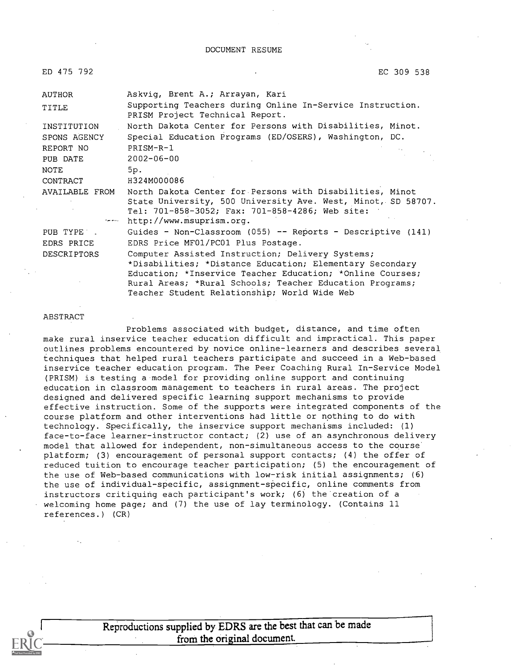#### DOCUMENT RESUME

| ED 475 792         | EC 309 538                                                                                                                                                                                              |
|--------------------|---------------------------------------------------------------------------------------------------------------------------------------------------------------------------------------------------------|
| AUTHOR             | Askvig, Brent A.; Arrayan, Kari                                                                                                                                                                         |
| TITLE              | Supporting Teachers during Online In-Service Instruction.<br>PRISM Project Technical Report.                                                                                                            |
| INSTITUTION        | North Dakota Center for Persons with Disabilities, Minot.                                                                                                                                               |
| SPONS AGENCY       | Special Education Programs (ED/OSERS), Washington, DC.                                                                                                                                                  |
| REPORT NO          | PRISM-R-1                                                                                                                                                                                               |
| PUB DATE           | $2002 - 06 - 00$                                                                                                                                                                                        |
| NOTE               | 5p.                                                                                                                                                                                                     |
| CONTRACT           | H324M000086                                                                                                                                                                                             |
| AVAILABLE FROM     | North Dakota Center for Persons with Disabilities, Minot<br>State University, 500 University Ave. West, Minot, SD 58707.<br>Tel: 701-858-3052; Fax: 701-858-4286; Web site:<br>http://www.msuprism.org. |
| PUB TYPE .         | Guides - Non-Classroom (055) -- Reports - Descriptive (141)                                                                                                                                             |
| EDRS PRICE         | EDRS Price MF01/PC01 Plus Postage.                                                                                                                                                                      |
| <b>DESCRIPTORS</b> | Computer Assisted Instruction; Delivery Systems;                                                                                                                                                        |
|                    | *Disabilities; *Distance Education; Elementary Secondary                                                                                                                                                |
|                    | Education; *Inservice Teacher Education; *Online Courses;                                                                                                                                               |
|                    | Rural Areas; *Rural Schools; Teacher Education Programs;                                                                                                                                                |
|                    | Teacher Student Relationship; World Wide Web                                                                                                                                                            |

#### ABSTRACT

Problems associated with budget, distance, and time often make rural inservice teacher education difficult and impractical. This paper outlines problems encountered by novice online-learners and describes several techniques that helped rural teachers participate and succeed in a Web-based inservice teacher education program. The Peer Coaching Rural In-Service Model (PRISM) is testing a model for providing online support and continuing education in classroom management to teachers in rural areas. The project designed and delivered specific learning support mechanisms to provide effective instruction. Some of the supports were integrated components of the course platform and other interventions had little or nothing to do with technology. Specifically, the inservice support mechanisms included: (1) face-to-face learner-instructor contact; (2) use of an asynchronous delivery model that allowed for independent, non-simultaneous access to the course platform; (3) encouragement of personal support contacts; (4) the offer of reduced tuition to encourage teacher participation; (5) the encouragement of the use of Web-based communications with low-risk initial assignments; (6) the use of individual-specific, assignment- specific, online comments from instructors critiquing each participant's work; (6) the creation of a welcoming home page; and (7) the use of lay terminology. (Contains 11 references.) (CR)

> Reproductions supplied by EDRS are the best that can be made from the original document.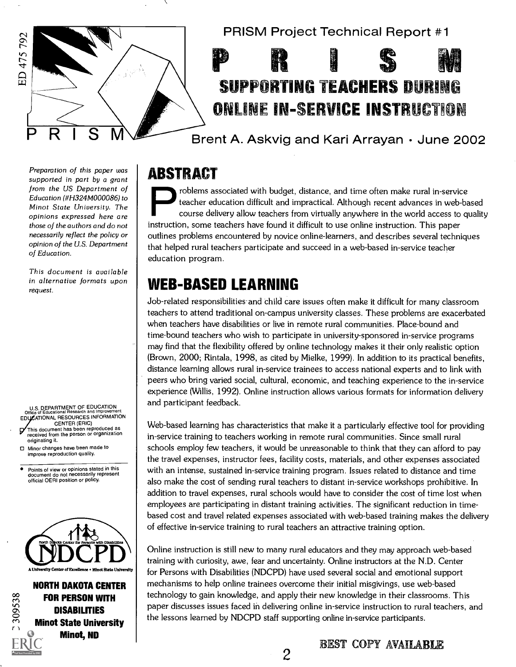

Preparation of this paper was supported in part by a grant from the US Department of Education (#H324M000086) to Minot State University. The opinions expressed here are those of the authors and do not necessarily reflect the policy or opinion of the U.S. Department of Education.

This document is available in alternative formats upon request.

U.S. DEPARTMENT OF EDUCATION Office of Educational Research and Improvement EDUCATIONAL RESOURCES INFORMATION CENTER (ERIC)

- This document has been reproduced as received from the person or organization originating it.
- Minor changes have been made to improve reproduction quality.

Points of view or opinions stated in this document do not necessarily represent official OERI position or policy.



NORTH DAKOTA CENTER FOR PERSON WITH **DISABILITIES** Minot State University Minot, ND

C309538



# SUPPORTING TEACHERS DURING ONLINE IN-SERVICE INSTRUCTION

P R I S M Brent A. Askvig and Kari Arrayan · June 2002

### ABSTRACT

problems associated with budget, distance, and time often make rural in-service teacher education difficult and impractical. Although recent advances in web-based course delivery allow teachers from virtually anywhere in the world access to quality instruction, some teachers have found it difficult to use online instruction. This paper outlines problems encountered by novice online-learners, and describes several techniques that helped rural teachers participate and succeed in a web-based in-service teacher education program.

### WEB-BASED LEARNING

Job-related responsibilities and child care issues often make it difficult for many classroom teachers to attend traditional on-campus university classes. These problems are exacerbated when teachers have disabilities or live in remote rural communities. Place-bound and time-bound teachers who wish to participate in university-sponsored in-service programs may find that the flexibility offered by online technology makes it their only realistic option (Brown, 2000; Rintala, 1998, as cited by Mielke, 1999). In addition to its practical benefits, distance learning allows rural in-service trainees to access national experts and to link with peers who bring varied social, cultural, economic, and teaching experience to the in-service experience (Willis, 1992). Online instruction allows various formats for information delivery and participant feedback.

Web-based learning has characteristics that make it a particularly effective tool for providing in-service training to teachers working in remote rural communities. Since small rural schools employ few teachers, it would be unreasonable to think that they can afford to pay the travel expenses, instructor fees, facility costs, materials, and other expenses associated with an intense, sustained in-service training program. Issues related to distance and time also make the cost of sending rural teachers to distant in-service workshops prohibitive. In addition to travel expenses, rural schools would have to consider the cost of time lost when employees are participating in distant training activities. The significant reduction in timebased cost and travel related expenses associated with web-based training makes the delivery of effective in-service training to rural teachers an attractive training option.

Online instruction is still new to many rural educators and they may approach web-based training with curiosity, awe, fear and uncertainty. Online instructors at the N.D. Center for Persons with Disabilities (NDCPD) have used several social and emotional support mechanisms to help online trainees overcome their initial misgivings, use web-based technology to gain knowledge, and apply their new knowledge in their classrooms. This paper discusses issues faced in delivering online in-service instruction to rural teachers, and the lessons learned by NDCPD staff supporting online in-service participants.

 $\overline{2}$ 

BEST COPY AVAILARLE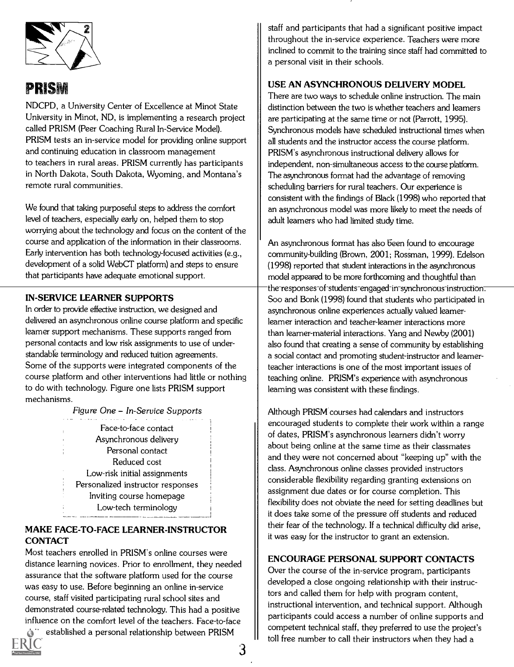

### **PRISM**

NDCPD, a University Center of Excellence at Minot State University in Minot, ND, is implementing a research project called PRISM (Peer Coaching Rural In-Service Model). PRISM tests an in-service model for providing online support and continuing education in classroom management to teachers in rural areas. PRISM currently has participants in North Dakota, South Dakota, Wyoming, and Montana's remote rural communities.

We found that taking purposeful steps to address the comfort level of teachers, especially early on, helped them to stop worrying about the technology and focus on the content of the course and application of the information in their classrooms. Early intervention has both technology-focused activities (e.g., development of a solid WebCT platform) and steps to ensure that participants have adequate emotional support.

#### IN-SERVICE LEARNER SUPPORTS

In order to provide effective instruction, we designed and delivered an asynchronous online course platform and specific learner support mechanisms. These supports ranged from personal contacts and low risk assignments to use of understandable terminology and reduced tuition agreements. Some of the supports were integrated components of the course platform and other interventions had little or nothing to do with technology. Figure one lists PRISM support mechanisms.

Figure One - In-Service Supports

Face-to-face contact Asynchronous delivery Personal contact Reduced cost Low-risk initial assignments Personalized instructor responses Inviting course homepage Low-tech terminology

#### MAKE FACE-TO-FACE LEARNER-INSTRUCTOR **CONTACT**

Most teachers enrolled in PRISM's online courses were distance learning novices. Prior to enrollment, they needed assurance that the software platform used for the course was easy to use. Before beginning an online in-service course, staff visited participating rural school sites and demonstrated course-related technology. This had a positive influence on the comfort level of the teachers. Face-to-face established a personal relationship between PRISM

3



staff and participants that had a significant positive impact throughout the in-service experience. Teachers were more inclined to commit to the training since staff had committed to a personal visit in their schools.

#### USE AN ASYNCHRONOUS DELIVERY MODEL

There are two ways to schedule online instruction. The main distinction between the two is whether teachers and learners are participating at the same time or not (Parrott, 1995). Synchronous models have scheduled instructional times when all students and the instructor access the course platform. PRISM's asynchronous instructional delivery allows for independent, non-simultaneous access to the course platform. The asynchronous format had the advantage of removing scheduling barriers for rural teachers. Our experience is consistent with the findings of Black (1998) who reported that an asynchronous model was more likely to meet the needs of adult learners who had limited study time.

An asynchronous format has also been found to encourage community-building (Brown, 2001; Rossman, 1999). Edelson (1998) reported that student interactions in the asynchronous model appeared to be more forthcoming and thoughtful than the responses-of-students-engaged-in-synchronous instruction. Soo and Bonk (1998) found that students who participated in asynchronous online experiences actually valued learnerlearner interaction and teacher-learner interactions more than learner-material interactions. Yang and Newby (2001) also found that creating a sense of community by establishing a social contact and promoting student-instructor and learnerteacher interactions is one of the most important issues of teaching online. PRISM's experience with asynchronous learning was consistent with these findings.

Although PRISM courses had calendars and instructors encouraged students to complete their work within a range of dates, PRISM's asynchronous learners didn't worry about being online at the same time as their classmates and they were not concerned about "keeping up" with the class. Asynchronous online classes provided instructors considerable flexibility regarding granting extensions on assignment due dates or for course completion. This flexibility does not obviate the need for setting deadlines but it does take some of the pressure off students and reduced their fear of the technology. If a technical difficulty did arise, it was easy for the instructor to grant an extension.

#### ENCOURAGE PERSONAL SUPPORT CONTACTS

Over the course of the in-service program, participants developed a close ongoing relationship with their instructors and called them for help with program content, instructional intervention, and technical support. Although participants could access a number of online supports and competent technical staff, they preferred to use the project's toll free number to call their instructors when they had a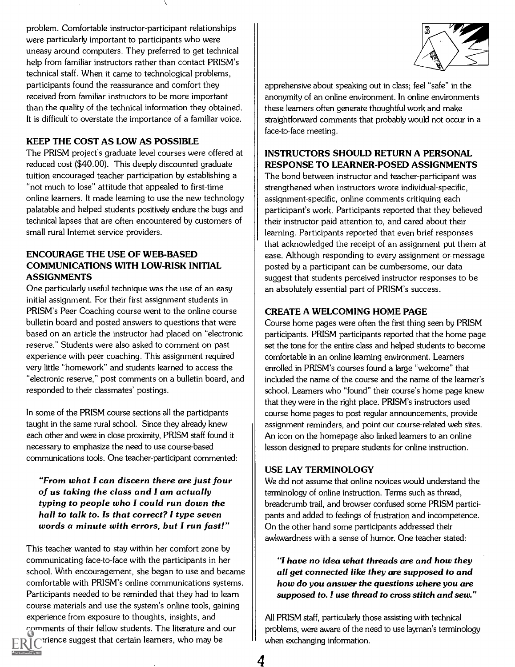problem. Comfortable instructor-participant relationships were particularly important to participants who were uneasy around computers. They preferred to get technical help from familiar instructors rather than contact PRISM's technical staff. When it came to technological problems, participants found the reassurance and comfort they received from familiar instructors to be more important than the quality of the technical information they obtained. It is difficult to overstate the importance of a familiar voice.

#### KEEP THE COST AS LOW AS POSSIBLE

The PRISM project's graduate level courses were offered at reduced cost (\$40.00). This deeply discounted graduate tuition encouraged teacher participation by establishing a "not much to lose" attitude that appealed to first-time online learners. It made learning to use the new technology palatable and helped students positively endure the bugs and technical lapses that are often encountered by customers of small rural Internet service providers.

#### ENCOURAGE THE USE OF WEB-BASED COMMUNICATIONS WITH LOW-RISK INITIAL ASSIGNMENTS

One particularly useful technique was the use of an easy initial assignment. For their first assignment students in PRISM's Peer Coaching course went to the online course bulletin board and posted answers to questions that were based on an article the instructor had placed on "electronic reserve." Students were also asked to comment on past experience with peer coaching. This assignment required very little "homework" and students learned to access the "electronic reserve," post comments on a bulletin board, and responded to their classmates' postings.

In some of the PRISM course sections all the participants taught in the same rural school. Since they already knew each other and were in close proximity, PRISM staff found it necessary to emphasize the need to use course-based communications tools. One teacher-participant commented:

"From what I can discern there are just four of us taking the class and I am actually typing to people who I could run down the hall to talk to. Is that correct? I type seven words a minute with errors, but I run fast!"

This teacher wanted to stay within her comfort zone by communicating face-to-face with the participants in her school. With encouragement, she began to use and became comfortable with PRISM's online communications systems. Participants needed to be reminded that they had to learn course materials and use the system's online tools, gaining experience from exposure to thoughts, insights, and comments of their fellow students. The literature and our

prience suggest that certain learners, who may be



apprehensive about speaking out in class; feel "safe" in the anonymity of an online environment. In online environments these learners often generate thoughtful work and make straightforward comments that probably would not occur in a face-to-face meeting.

#### INSTRUCTORS SHOULD RETURN A PERSONAL RESPONSE TO LEARNER-POSED ASSIGNMENTS

The bond between instructor and teacher-participant was strengthened when instructors wrote individual-specific, assignment-specific, online comments critiquing each participant's work. Participants reported that they believed their instructor paid attention to, and cared about their learning. Participants reported that even brief responses that acknowledged the receipt of an assignment put them at ease. Although responding to every assignment or message posted by a participant can be cumbersome, our data suggest that students perceived instructor responses to be an absolutely essential part of PRISM's success.

#### CREATE A WELCOMING HOME PAGE

Course home pages were often the first thing seen by PRISM participants. PRISM participants reported that the home page set the tone for the entire class and helped students to become comfortable in an online learning environment. Learners enrolled in PRISM's courses found a large "welcome" that included the name of the course and the name of the learner's school. Learners who "found" their course's home page knew that they were in the right place. PRISM's instructors used course home pages to post regular announcements, provide assignment reminders, and point out course-related web sites. An icon on the homepage also linked learners to an online lesson designed to prepare students for online instruction.

#### USE LAY TERMINOLOGY

We did not assume that online novices would understand the terminology of online instruction. Terms such as thread, breadcrumb trail, and browser confused some PRISM participants and added to feelings of frustration and incompetence. On the other hand some participants addressed their awkwardness with a sense of humor. One teacher stated:

"I have no idea what threads are and how they all get connected like they are supposed to and how do you answer the questions where you are supposed to. I use thread to cross stitch and sew."

All PRISM staff, particularly those assisting with technical problems, were aware of the need to use layman's terminology when exchanging information.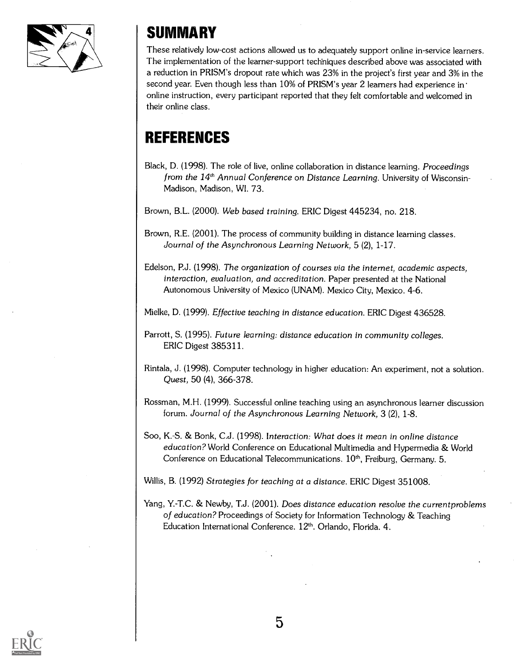

### SUMMARY

These relatively low-cost actions allowed us to adequately support online in-service learners. The implementation of the learner-support techniques described above was associated with a reduction in PRISM's dropout rate which was 23% in the project's first year and 3% in the second year. Even though less than 10% of PRISM's year 2 learners had experience in' online instruction, every participant reported that they felt comfortable and welcomed in their online class.

### REFERENCES

Black, D. (1998). The role of live, online collaboration in distance learning. Proceedings from the 14<sup>th</sup> Annual Conference on Distance Learning. University of Wisconsin-Madison, Madison, WI. 73.

Brown, B.L. (2000). Web based training. ERIC Digest 445234, no. 218.

Brown, R.E. (2001). The process of community building in distance learning classes. Journal of the Asynchronous Learning Network, 5 (2), 1-17.

Edelson, P.J. (1998). The organization of courses via the internet, academic aspects, interaction, evaluation, and accreditation. Paper presented at the National Autonomous University of Mexico (UNAM). Mexico City, Mexico. 4-6.

Mielke, D. (1999). Effective teaching in distance education. ERIC Digest 436528.

Parrott, S. (1995). Future learning: distance education in community colleges. ERIC Digest 385311.

- Rintala, J. (1998). Computer technology in higher education: An experiment, not a solution. Quest, 50 (4), 366-378.
- Rossman, M.H. (1999). Successful online teaching using an asynchronous learner discussion forum. Journal of the Asynchronous Learning Network, 3 (2), 1-8.
- Soo, K.-S. & Bonk, C.J. (1998). Interaction: What does it mean in online distance education? World Conference on Educational Multimedia and Hypermedia & World Conference on Educational Telecommunications. 10<sup>th</sup>, Freiburg, Germany. 5.

Willis, B. (1992) Strategies for teaching at a distance. ERIC Digest 351008.

Yang, Y.-T.C. & Newby, T.J. (2001). Does distance education resolve the currentproblems of education? Proceedings of Society for Information Technology & Teaching Education International Conference. 12<sup>th</sup>. Orlando, Florida. 4.